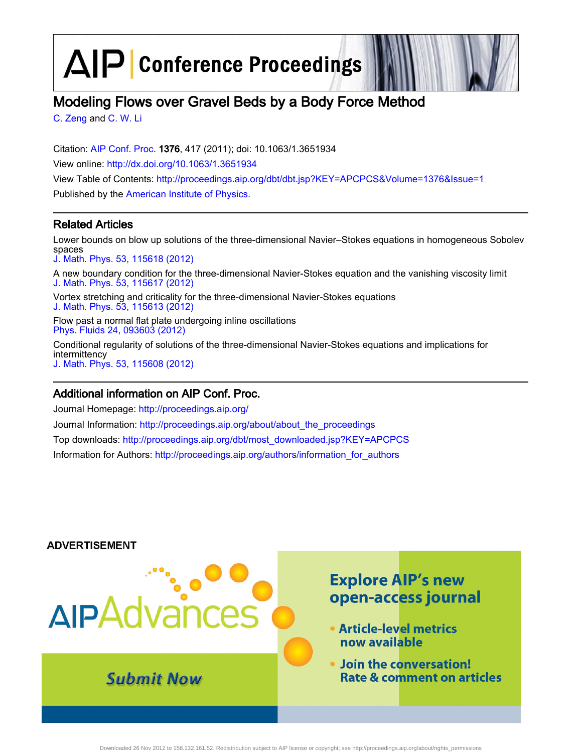$\Delta$  $\left| \mathsf{P} \right|$  Conference Proceedings

# Modeling Flows over Gravel Beds by a Body Force Method

[C. Zeng](http://scitation.aip.org/vsearch/servlet/VerityServlet?KEY=ALL&uSeDeFaUlTkEy=TrUe&possible1=C. Zeng&possible1zone=author&maxdisp=25&smode=strresults&aqs=true&ver=pdfcov) and [C. W. Li](http://scitation.aip.org/vsearch/servlet/VerityServlet?KEY=ALL&uSeDeFaUlTkEy=TrUe&possible1=C. W. Li&possible1zone=author&maxdisp=25&smode=strresults&aqs=true&ver=pdfcov)

Citation: [AIP Conf. Proc.](http://proceedings.aip.org/?ver=pdfcov) 1376, 417 (2011); doi: 10.1063/1.3651934 View online: [http://dx.doi.org/10.1063/1.3651934](http://link.aip.org/link/doi/10.1063/1.3651934?ver=pdfcov) View Table of Contents: [http://proceedings.aip.org/dbt/dbt.jsp?KEY=APCPCS&Volume=1376&Issue=1](http://proceedings.aip.org/dbt/dbt.jsp?KEY=APCPCS&Volume=1376&Issue=1&ver=pdfcov) Published by the [American Institute of Physics.](http://www.aip.org/?ver=pdfcov)

# Related Articles

Lower bounds on blow up solutions of the three-dimensional Navier–Stokes equations in homogeneous Sobolev spaces

[J. Math. Phys. 53, 115618 \(2012\)](http://link.aip.org/link/doi/10.1063/1.4762841?ver=pdfcov)

A new boundary condition for the three-dimensional Navier-Stokes equation and the vanishing viscosity limit [J. Math. Phys. 53, 115617 \(2012\)](http://link.aip.org/link/doi/10.1063/1.4762827?ver=pdfcov)

Vortex stretching and criticality for the three-dimensional Navier-Stokes equations [J. Math. Phys. 53, 115613 \(2012\)](http://link.aip.org/link/doi/10.1063/1.4752170?ver=pdfcov)

Flow past a normal flat plate undergoing inline oscillations [Phys. Fluids 24, 093603 \(2012\)](http://link.aip.org/link/doi/10.1063/1.4749803?ver=pdfcov)

Conditional regularity of solutions of the three-dimensional Navier-Stokes equations and implications for intermittency [J. Math. Phys. 53, 115608 \(2012\)](http://link.aip.org/link/doi/10.1063/1.4742857?ver=pdfcov)

# Additional information on AIP Conf. Proc.

Journal Homepage: [http://proceedings.aip.org/](http://proceedings.aip.org/?ver=pdfcov) Journal Information: [http://proceedings.aip.org/about/about\\_the\\_proceedings](http://proceedings.aip.org/about/about_the_proceedings?ver=pdfcov) Top downloads: [http://proceedings.aip.org/dbt/most\\_downloaded.jsp?KEY=APCPCS](http://proceedings.aip.org/dbt/most_downloaded.jsp?KEY=APCPCS&ver=pdfcov) Information for Authors: [http://proceedings.aip.org/authors/information\\_for\\_authors](http://proceedings.aip.org/authors/information_for_authors?ver=pdfcov)

### **ADVERTISEMENT**

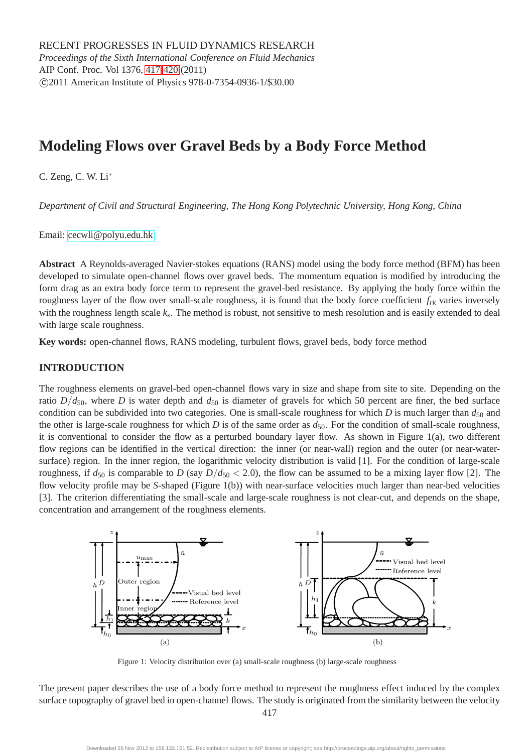# **Modeling Flows over Gravel Beds by a Body Force Method**

C. Zeng, C. W. Li<sup>∗</sup>

*Department of Civil and Structural Engineering, The Hong Kong Polytechnic University, Hong Kong, China*

Email: [cecwli@polyu.edu.hk](mailto:cecwli@polyu.edu.hk)

**Abstract** A Reynolds-averaged Navier-stokes equations (RANS) model using the body force method (BFM) has been developed to simulate open-channel flows over gravel beds. The momentum equation is modified by introducing the form drag as an extra body force term to represent the gravel-bed resistance. By applying the body force within the roughness layer of the flow over small-scale roughness, it is found that the body force coefficient *frk* varies inversely with the roughness length scale *k<sup>s</sup>* . The method is robust, not sensitive to mesh resolution and is easily extended to deal with large scale roughness.

**Key words:** open-channel flows, RANS modeling, turbulent flows, gravel beds, body force method

# **INTRODUCTION**

The roughness elements on gravel-bed open-channel flows vary in size and shape from site to site. Depending on the ratio  $D/d_{50}$ , where *D* is water depth and  $d_{50}$  is diameter of gravels for which 50 percent are finer, the bed surface condition can be subdivided into two categories. One is small-scale roughness for which *D* is much larger than  $d_{50}$  and the other is large-scale roughness for which *D* is of the same order as  $d_{50}$ . For the condition of small-scale roughness, it is conventional to consider the flow as a perturbed boundary layer flow. As shown in Figure 1(a), two different flow regions can be identified in the vertical direction: the inner (or near-wall) region and the outer (or near-watersurface) region. In the inner region, the logarithmic velocity distribution is valid [1]. For the condition of large-scale roughness, if  $d_{50}$  is comparable to *D* (say  $D/d_{50} < 2.0$ ), the flow can be assumed to be a mixing layer flow [2]. The flow velocity profile may be *S*-shaped (Figure 1(b)) with near-surface velocities much larger than near-bed velocities [3]. The criterion differentiating the small-scale and large-scale roughness is not clear-cut, and depends on the shape, concentration and arrangement of the roughness elements.



Figure 1: Velocity distribution over (a) small-scale roughness (b) large-scale roughness

The present paper describes the use of a body force method to represent the roughness effect induced by the complex surface topography of gravel bed in open-channel flows. The study is originated from the similarity between the velocity

417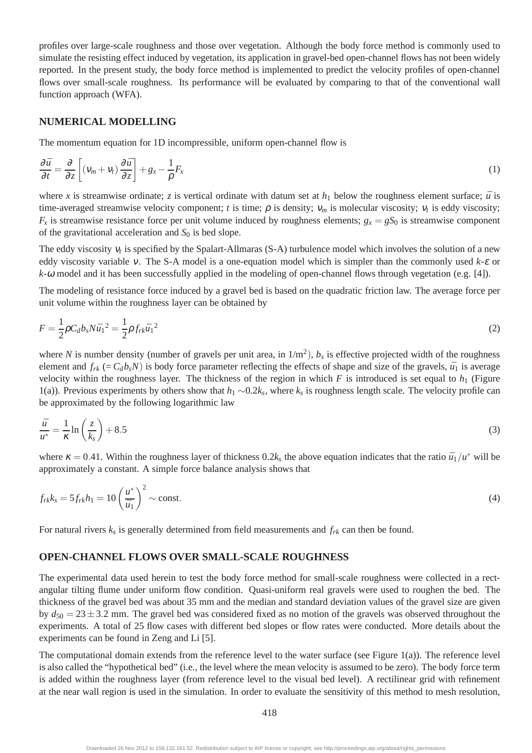profiles over large-scale roughness and those over vegetation. Although the body force method is commonly used to simulate the resisting effect induced by vegetation, its application in gravel-bed open-channel flows has not been widely reported. In the present study, the body force method is implemented to predict the velocity profiles of open-channel flows over small-scale roughness. Its performance will be evaluated by comparing to that of the conventional wall function approach (WFA).

#### **NUMERICAL MODELLING**

The momentum equation for 1D incompressible, uniform open-channel flow is

$$
\frac{\partial \bar{u}}{\partial t} = \frac{\partial}{\partial z} \left[ \left( v_m + v_t \right) \frac{\partial \bar{u}}{\partial z} \right] + g_x - \frac{1}{\rho} F_x \tag{1}
$$

where *x* is streamwise ordinate; *z* is vertical ordinate with datum set at  $h_1$  below the roughness element surface;  $\bar{u}$  is time-averaged streamwise velocity component; *t* is time;  $\rho$  is density;  $v_m$  is molecular viscosity;  $v_t$  is eddy viscosity;  $F_x$  is streamwise resistance force per unit volume induced by roughness elements;  $g_x = gS_0$  is streamwise component of the gravitational acceleration and  $S_0$  is bed slope.

The eddy viscosity  $v_t$  is specified by the Spalart-Allmaras (S-A) turbulence model which involves the solution of a new eddy viscosity variable <sup>ν</sup>. The S-A model is a one-equation model which is simpler than the commonly used *k*-<sup>ε</sup> or *k*-<sup>ω</sup> model and it has been successfully applied in the modeling of open-channel flows through vegetation (e.g. [4]).

The modeling of resistance force induced by a gravel bed is based on the quadratic friction law. The average force per unit volume within the roughness layer can be obtained by

$$
F = \frac{1}{2}\rho C_d b_s N \bar{u}_1{}^2 = \frac{1}{2}\rho f_{rk} \bar{u}_1{}^2
$$
\n(2)

where *N* is number density (number of gravels per unit area, in  $1/m^2$ ),  $b_s$  is effective projected width of the roughness element and  $f_{rk}$  (=  $C_d b_s N$ ) is body force parameter reflecting the effects of shape and size of the gravels,  $\bar{u}_1$  is average velocity within the roughness layer. The thickness of the region in which  $F$  is introduced is set equal to  $h_1$  (Figure 1(a)). Previous experiments by others show that *h*<sup>1</sup> ∼0.2*k<sup>s</sup>* , where *k<sup>s</sup>* is roughness length scale. The velocity profile can be approximated by the following logarithmic law

$$
\frac{\bar{u}}{u^*} = \frac{1}{\kappa} \ln \left( \frac{z}{k_s} \right) + 8.5 \tag{3}
$$

where  $\kappa = 0.41$ . Within the roughness layer of thickness  $0.2k_s$  the above equation indicates that the ratio  $\bar{u}_1/u^*$  will be approximately a constant. A simple force balance analysis shows that

$$
f_{rk}k_s = 5f_{rk}h_1 = 10\left(\frac{u^*}{\bar{u}_1}\right)^2 \sim \text{const.}
$$
\n<sup>(4)</sup>

For natural rivers *k<sup>s</sup>* is generally determined from field measurements and *frk* can then be found.

### **OPEN-CHANNEL FLOWS OVER SMALL-SCALE ROUGHNESS**

The experimental data used herein to test the body force method for small-scale roughness were collected in a rectangular tilting flume under uniform flow condition. Quasi-uniform real gravels were used to roughen the bed. The thickness of the gravel bed was about 35 mm and the median and standard deviation values of the gravel size are given by  $d_{50} = 23 \pm 3.2$  mm. The gravel bed was considered fixed as no motion of the gravels was observed throughout the experiments. A total of 25 flow cases with different bed slopes or flow rates were conducted. More details about the experiments can be found in Zeng and Li [5].

The computational domain extends from the reference level to the water surface (see Figure 1(a)). The reference level is also called the "hypothetical bed" (i.e., the level where the mean velocity is assumed to be zero). The body force term is added within the roughness layer (from reference level to the visual bed level). A rectilinear grid with refinement at the near wall region is used in the simulation. In order to evaluate the sensitivity of this method to mesh resolution,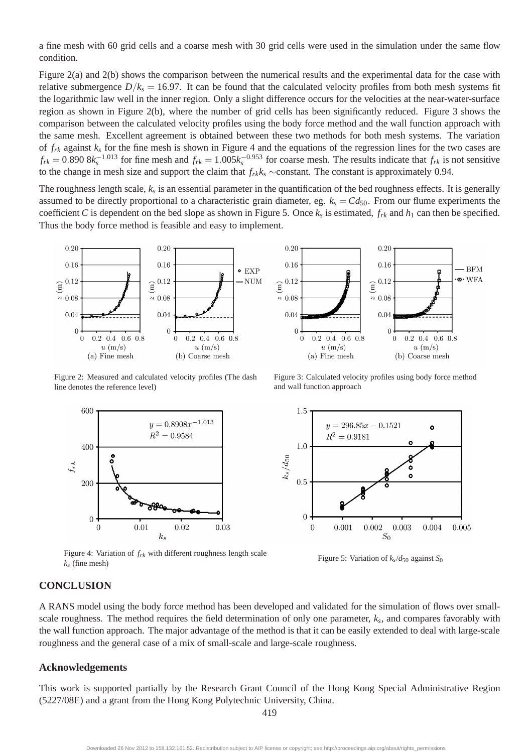a fine mesh with 60 grid cells and a coarse mesh with 30 grid cells were used in the simulation under the same flow condition.

Figure 2(a) and 2(b) shows the comparison between the numerical results and the experimental data for the case with relative submergence  $D/k_s = 16.97$ . It can be found that the calculated velocity profiles from both mesh systems fit the logarithmic law well in the inner region. Only a slight difference occurs for the velocities at the near-water-surface region as shown in Figure 2(b), where the number of grid cells has been significantly reduced. Figure 3 shows the comparison between the calculated velocity profiles using the body force method and the wall function approach with the same mesh. Excellent agreement is obtained between these two methods for both mesh systems. The variation of  $f_{rk}$  against  $k_s$  for the fine mesh is shown in Figure 4 and the equations of the regression lines for the two cases are  $f_{rk} = 0.890 \, 8k_s^{-1.013}$  for fine mesh and  $f_{rk} = 1.005k_s^{-0.953}$  for coarse mesh. The results indicate that  $f_{rk}$  is not sensitive to the change in mesh size and support the claim that  $f_{rk}$ <sup>*k*<sub>*s*</sub> ∼constant. The constant is approximately 0.94.</sup>

The roughness length scale, *k<sup>s</sup>* is an essential parameter in the quantification of the bed roughness effects. It is generally assumed to be directly proportional to a characteristic grain diameter, eg.  $k_s = Cd_{50}$ . From our flume experiments the coefficient *C* is dependent on the bed slope as shown in Figure 5. Once  $k_s$  is estimated,  $f_{rk}$  and  $h_1$  can then be specified. Thus the body force method is feasible and easy to implement.

 $0.20$ 



Figure 2: Measured and calculated velocity profiles (The dash line denotes the reference level)



Figure 4: Variation of  $f_{rk}$  with different roughness length scale  $k_s$  (fine mesh)

#### 0.16  $0.16$ - BFM  $\widehat{\mathbf{g}}^{0.12}$  $\cdot \bullet \cdot \text{WFA}$  $0.12$  $\widehat{E}$  $8.0.08$  $\approx\,0.08$ 0.04  $0.04$  $\overline{0}$  $\mathcal{C}$  $0.2$  $0.4$  $0.6\;\;0.8$  $0.2\, 0.4\, 0.6\, 0.8$  $\Omega$  $\Omega$  $u \text{ (m/s)}$  $u \text{ (m/s)}$ (b) Coarse mesh (a) Fine mesh

 $0.20$ 

Figure 3: Calculated velocity profiles using body force method and wall function approach



Figure 5: Variation of  $k_s/d_{50}$  against  $S_0$ 

# **CONCLUSION**

A RANS model using the body force method has been developed and validated for the simulation of flows over smallscale roughness. The method requires the field determination of only one parameter, *k<sup>s</sup>* , and compares favorably with the wall function approach. The major advantage of the method is that it can be easily extended to deal with large-scale roughness and the general case of a mix of small-scale and large-scale roughness.

#### **Acknowledgements**

This work is supported partially by the Research Grant Council of the Hong Kong Special Administrative Region (5227/08E) and a grant from the Hong Kong Polytechnic University, China.